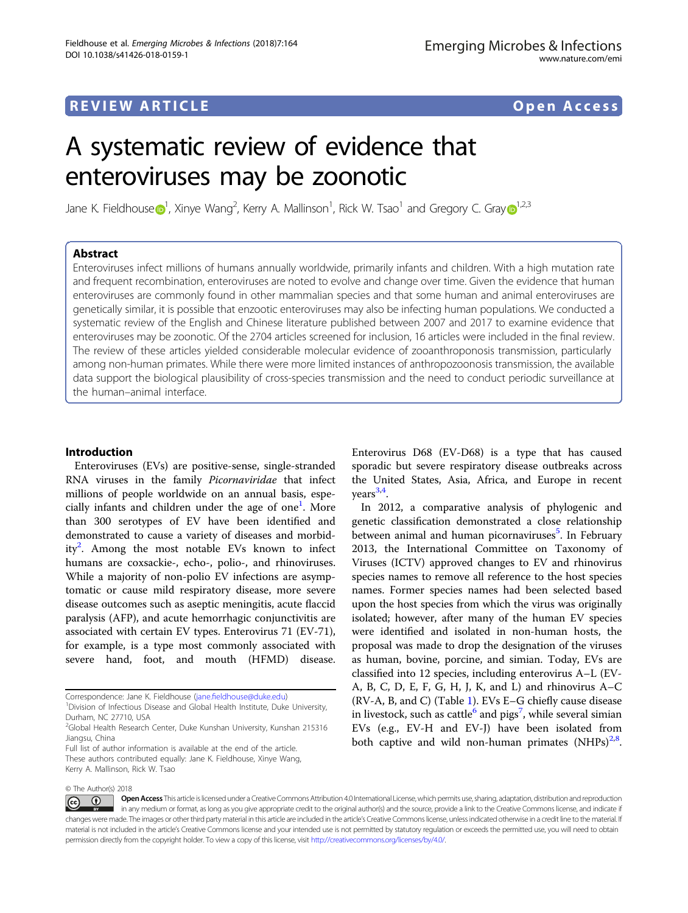# REVIEW ARTICLE Open Access

# A systematic review of evidence that enteroviruses may be zoonotic

Jane K. Fieldhouse $\bigcirc^1$  $\bigcirc^1$ , Xin[y](http://orcid.org/0000-0002-4628-5908)e Wang<sup>2</sup>, Kerry A. Mallinson<sup>1</sup>, Rick W. Tsao<sup>1</sup> and Gregory C. Gray $\bigcirc^1$ <sup>2,3</sup>

# Abstract

Enteroviruses infect millions of humans annually worldwide, primarily infants and children. With a high mutation rate and frequent recombination, enteroviruses are noted to evolve and change over time. Given the evidence that human enteroviruses are commonly found in other mammalian species and that some human and animal enteroviruses are genetically similar, it is possible that enzootic enteroviruses may also be infecting human populations. We conducted a systematic review of the English and Chinese literature published between 2007 and 2017 to examine evidence that enteroviruses may be zoonotic. Of the 2704 articles screened for inclusion, 16 articles were included in the final review. The review of these articles yielded considerable molecular evidence of zooanthroponosis transmission, particularly among non-human primates. While there were more limited instances of anthropozoonosis transmission, the available data support the biological plausibility of cross-species transmission and the need to conduct periodic surveillance at the human–animal interface.

years<sup>[3,4](#page-7-0)</sup>.

## Introduction

Enteroviruses (EVs) are positive-sense, single-stranded RNA viruses in the family Picornaviridae that infect millions of people worldwide on an annual basis, espe-cially infants and children under the age of one<sup>[1](#page-7-0)</sup>. More than 300 serotypes of EV have been identified and demonstrated to cause a variety of diseases and morbid-ity<sup>[2](#page-7-0)</sup>. Among the most notable EVs known to infect humans are coxsackie-, echo-, polio-, and rhinoviruses. While a majority of non-polio EV infections are asymptomatic or cause mild respiratory disease, more severe disease outcomes such as aseptic meningitis, acute flaccid paralysis (AFP), and acute hemorrhagic conjunctivitis are associated with certain EV types. Enterovirus 71 (EV-71), for example, is a type most commonly associated with severe hand, foot, and mouth (HFMD) disease.

2013, the International Committee on Taxonomy of Viruses (ICTV) approved changes to EV and rhinovirus species names to remove all reference to the host species names. Former species names had been selected based

upon the host species from which the virus was originally isolated; however, after many of the human EV species were identified and isolated in non-human hosts, the proposal was made to drop the designation of the viruses as human, bovine, porcine, and simian. Today, EVs are classified into 12 species, including enterovirus A–L (EV-A, B, C, D, E, F, G, H, J, K, and L) and rhinovirus A–C (RV-A, B, and C) (Table [1](#page-1-0)). EVs E–G chiefly cause disease in livestock, such as cattle<sup>[6](#page-7-0)</sup> and pigs<sup>7</sup>, while several simian EVs (e.g., EV-H and EV-J) have been isolated from both captive and wild non-human primates  $(NHPs)^{2,8}$  $(NHPs)^{2,8}$  $(NHPs)^{2,8}$  $(NHPs)^{2,8}$  $(NHPs)^{2,8}$ .

Enterovirus D68 (EV-D68) is a type that has caused sporadic but severe respiratory disease outbreaks across the United States, Asia, Africa, and Europe in recent

In 2012, a comparative analysis of phylogenic and genetic classification demonstrated a close relationship between animal and human picornaviruses<sup>[5](#page-7-0)</sup>. In February

Open Access This article is licensed under a Creative Commons Attribution 4.0 International License, which permits use, sharing, adaptation, distribution and reproduction  $\odot$ (i) in any medium or format, as long as you give appropriate credit to the original author(s) and the source, provide a link to the Creative Commons license, and indicate if changes were made. The images or other third party material in this article are included in the article's Creative Commons license, unless indicated otherwise in a credit line to the material. If material is not included in the article's Creative Commons license and your intended use is not permitted by statutory regulation or exceeds the permitted use, you will need to obtain permission directly from the copyright holder. To view a copy of this license, visit <http://creativecommons.org/licenses/by/4.0/>.

Correspondence: Jane K. Fieldhouse (jane.fi[eldhouse@duke.edu](mailto:jane.fieldhouse@duke.edu)) <sup>1</sup>

Division of Infectious Disease and Global Health Institute, Duke University, Durham, NC 27710, USA

<sup>&</sup>lt;sup>2</sup>Global Health Research Center, Duke Kunshan University, Kunshan 215316 Jiangsu, China

Full list of author information is available at the end of the article. These authors contributed equally: Jane K. Fieldhouse, Xinye Wang, Kerry A. Mallinson, Rick W. Tsao

<sup>©</sup> The Author(s) 2018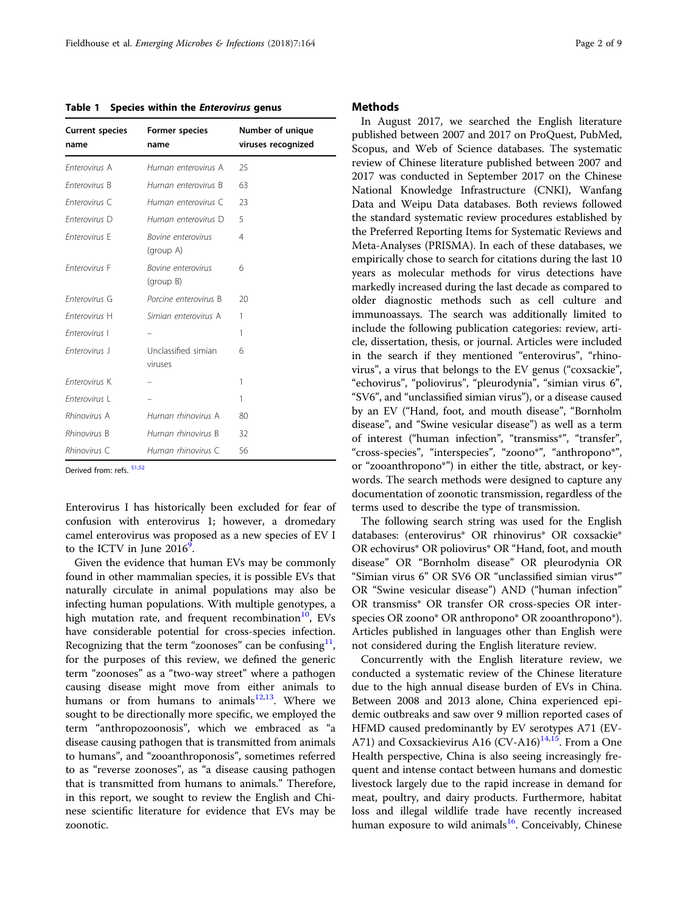<span id="page-1-0"></span>Table 1 Species within the Enterovirus genus

| <b>Current species</b><br>name | Former species<br>name                 | Number of unique<br>viruses recognized |
|--------------------------------|----------------------------------------|----------------------------------------|
| Fnterovirus A                  | Human enterovirus A                    | 25                                     |
| <b>Fnterovirus B</b>           | Human enterovirus B                    | 63                                     |
| <b>Fnterovirus C.</b>          | Human enterovirus C                    | 23                                     |
| Fnterovirus D                  | Human enterovirus D                    | 5                                      |
| <b>Fnterovirus F</b>           | <b>Bovine enterovirus</b><br>(group A) | 4                                      |
| <b>Fnterovirus F</b>           | <b>Bovine enterovirus</b><br>(group B) | 6                                      |
| Enterovirus G                  | Porcine enterovirus B                  | 20                                     |
| Fnterovirus H                  | Simian enterovirus A                   | 1                                      |
| Fnterovirus I                  |                                        | 1                                      |
| Fnterovirus J                  | Unclassified simian<br>viruses         | 6                                      |
| Fnterovirus K                  |                                        | 1                                      |
| Fnterovirus I                  |                                        | 1                                      |
| Rhinovirus A                   | Human rhinovirus A                     | 80                                     |
| Rhinovirus B                   | Human rhinovirus B                     | 32                                     |
| Rhinovirus C                   | Human rhinovirus C                     | 56                                     |

Derived from: refs. [51,52](#page-8-0)

Enterovirus I has historically been excluded for fear of confusion with enterovirus 1; however, a dromedary camel enterovirus was proposed as a new species of EV I to the ICTV in June  $2016^9$  $2016^9$ .

Given the evidence that human EVs may be commonly found in other mammalian species, it is possible EVs that naturally circulate in animal populations may also be infecting human populations. With multiple genotypes, a high mutation rate, and frequent recombination<sup>10</sup>, EVs have considerable potential for cross-species infection. Recognizing that the term "zoonoses" can be confusing $\frac{11}{1}$  $\frac{11}{1}$  $\frac{11}{1}$ , for the purposes of this review, we defined the generic term "zoonoses" as a "two-way street" where a pathogen causing disease might move from either animals to humans or from humans to animals $12,13$  $12,13$ . Where we sought to be directionally more specific, we employed the term "anthropozoonosis", which we embraced as "a disease causing pathogen that is transmitted from animals to humans", and "zooanthroponosis", sometimes referred to as "reverse zoonoses", as "a disease causing pathogen that is transmitted from humans to animals." Therefore, in this report, we sought to review the English and Chinese scientific literature for evidence that EVs may be zoonotic.

#### Methods

In August 2017, we searched the English literature published between 2007 and 2017 on ProQuest, PubMed, Scopus, and Web of Science databases. The systematic review of Chinese literature published between 2007 and 2017 was conducted in September 2017 on the Chinese National Knowledge Infrastructure (CNKI), Wanfang Data and Weipu Data databases. Both reviews followed the standard systematic review procedures established by the Preferred Reporting Items for Systematic Reviews and Meta-Analyses (PRISMA). In each of these databases, we empirically chose to search for citations during the last 10 years as molecular methods for virus detections have markedly increased during the last decade as compared to older diagnostic methods such as cell culture and immunoassays. The search was additionally limited to include the following publication categories: review, article, dissertation, thesis, or journal. Articles were included in the search if they mentioned "enterovirus", "rhinovirus", a virus that belongs to the EV genus ("coxsackie", "echovirus", "poliovirus", "pleurodynia", "simian virus 6", "SV6", and "unclassified simian virus"), or a disease caused by an EV ("Hand, foot, and mouth disease", "Bornholm disease", and "Swine vesicular disease") as well as a term of interest ("human infection", "transmiss\*", "transfer", "cross-species", "interspecies", "zoono\*", "anthropono\*", or "zooanthropono\*") in either the title, abstract, or keywords. The search methods were designed to capture any documentation of zoonotic transmission, regardless of the terms used to describe the type of transmission.

The following search string was used for the English databases: (enterovirus\* OR rhinovirus\* OR coxsackie\* OR echovirus\* OR poliovirus\* OR "Hand, foot, and mouth disease" OR "Bornholm disease" OR pleurodynia OR "Simian virus 6" OR SV6 OR "unclassified simian virus\*" OR "Swine vesicular disease") AND ("human infection" OR transmiss\* OR transfer OR cross-species OR interspecies OR zoono\* OR anthropono\* OR zooanthropono\*). Articles published in languages other than English were not considered during the English literature review.

Concurrently with the English literature review, we conducted a systematic review of the Chinese literature due to the high annual disease burden of EVs in China. Between 2008 and 2013 alone, China experienced epidemic outbreaks and saw over 9 million reported cases of HFMD caused predominantly by EV serotypes A71 (EV-A71) and Coxsackievirus A16 (CV-A16) $14,15$  $14,15$  $14,15$ . From a One Health perspective, China is also seeing increasingly frequent and intense contact between humans and domestic livestock largely due to the rapid increase in demand for meat, poultry, and dairy products. Furthermore, habitat loss and illegal wildlife trade have recently increased human exposure to wild animals $16$ . Conceivably, Chinese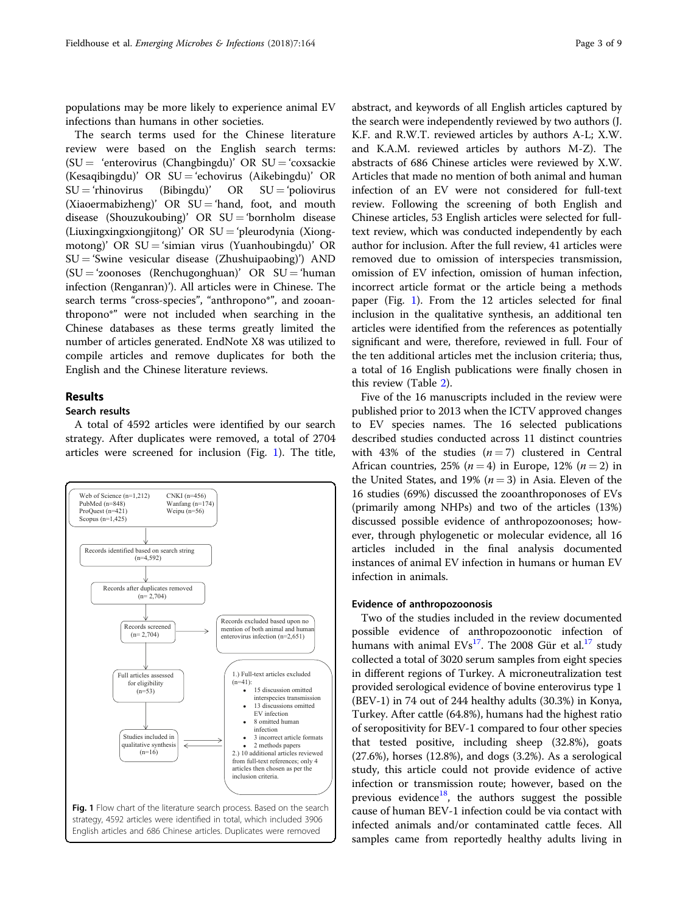populations may be more likely to experience animal EV infections than humans in other societies.

The search terms used for the Chinese literature review were based on the English search terms:  $(SU = 'enterovirus (Changbingdu)' OR SU = 'coxsackie$ (Kesaqibingdu)' OR SU = 'echovirus (Aikebingdu)' OR  $SU = 'r$ hinovirus (Bibingdu)' OR  $SU = 'poliovirus$  $(Xiaoermabizheng)'$  OR  $SU = 'hand$ , foot, and mouth disease (Shouzukoubing)' OR SU = 'bornholm disease (Liuxingxingxiongjitong)' OR SU = 'pleurodynia (Xiongmotong)' OR  $SU = 'simian$  virus (Yuanhoubingdu)' OR  $SU = 'Swine$  vesicular disease (Zhushuipaobing)') AND  $(SU = 'zoonoses$  (Renchugonghuan)' OR  $SU = 'human$ infection (Renganran)'). All articles were in Chinese. The search terms "cross-species", "anthropono\*", and zooanthropono\*" were not included when searching in the Chinese databases as these terms greatly limited the number of articles generated. EndNote X8 was utilized to compile articles and remove duplicates for both the English and the Chinese literature reviews.

# Results

# Search results

A total of 4592 articles were identified by our search strategy. After duplicates were removed, a total of 2704 articles were screened for inclusion (Fig. 1). The title,



abstract, and keywords of all English articles captured by the search were independently reviewed by two authors (J. K.F. and R.W.T. reviewed articles by authors A-L; X.W. and K.A.M. reviewed articles by authors M-Z). The abstracts of 686 Chinese articles were reviewed by X.W. Articles that made no mention of both animal and human infection of an EV were not considered for full-text review. Following the screening of both English and Chinese articles, 53 English articles were selected for fulltext review, which was conducted independently by each author for inclusion. After the full review, 41 articles were removed due to omission of interspecies transmission, omission of EV infection, omission of human infection, incorrect article format or the article being a methods paper (Fig. 1). From the 12 articles selected for final inclusion in the qualitative synthesis, an additional ten articles were identified from the references as potentially significant and were, therefore, reviewed in full. Four of the ten additional articles met the inclusion criteria; thus, a total of 16 English publications were finally chosen in this review (Table [2](#page-3-0)).

Five of the 16 manuscripts included in the review were published prior to 2013 when the ICTV approved changes to EV species names. The 16 selected publications described studies conducted across 11 distinct countries with 43% of the studies  $(n=7)$  clustered in Central African countries, 25% ( $n = 4$ ) in Europe, 12% ( $n = 2$ ) in the United States, and 19%  $(n=3)$  in Asia. Eleven of the 16 studies (69%) discussed the zooanthroponoses of EVs (primarily among NHPs) and two of the articles (13%) discussed possible evidence of anthropozoonoses; however, through phylogenetic or molecular evidence, all 16 articles included in the final analysis documented instances of animal EV infection in humans or human EV infection in animals.

#### Evidence of anthropozoonosis

Two of the studies included in the review documented possible evidence of anthropozoonotic infection of humans with animal  $EVs<sup>17</sup>$  $EVs<sup>17</sup>$  $EVs<sup>17</sup>$ . The 2008 Gür et al.<sup>17</sup> study collected a total of 3020 serum samples from eight species in different regions of Turkey. A microneutralization test provided serological evidence of bovine enterovirus type 1 (BEV-1) in 74 out of 244 healthy adults (30.3%) in Konya, Turkey. After cattle (64.8%), humans had the highest ratio of seropositivity for BEV-1 compared to four other species that tested positive, including sheep (32.8%), goats (27.6%), horses (12.8%), and dogs (3.2%). As a serological study, this article could not provide evidence of active infection or transmission route; however, based on the previous evidence $^{18}$ , the authors suggest the possible cause of human BEV-1 infection could be via contact with infected animals and/or contaminated cattle feces. All samples came from reportedly healthy adults living in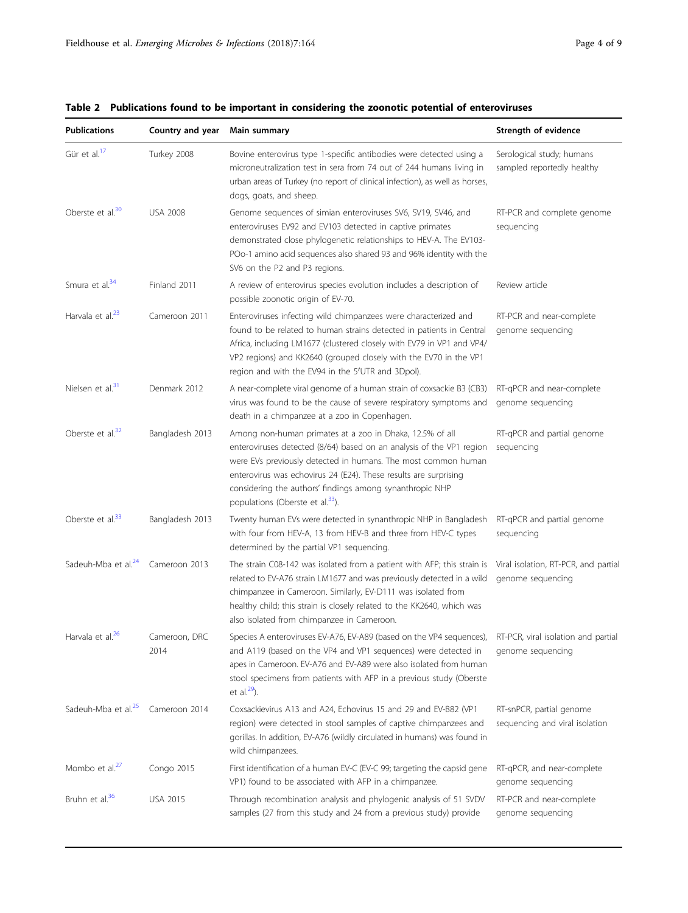| <b>Publications</b>             | Country and year      | Main summary                                                                                                                                                                                                                                                                                                                                                                      | Strength of evidence                                       |
|---------------------------------|-----------------------|-----------------------------------------------------------------------------------------------------------------------------------------------------------------------------------------------------------------------------------------------------------------------------------------------------------------------------------------------------------------------------------|------------------------------------------------------------|
| Gür et al. <sup>17</sup>        | Turkey 2008           | Bovine enterovirus type 1-specific antibodies were detected using a<br>microneutralization test in sera from 74 out of 244 humans living in<br>urban areas of Turkey (no report of clinical infection), as well as horses,<br>dogs, goats, and sheep.                                                                                                                             | Serological study; humans<br>sampled reportedly healthy    |
| Oberste et al. <sup>30</sup>    | <b>USA 2008</b>       | Genome sequences of simian enteroviruses SV6, SV19, SV46, and<br>enteroviruses EV92 and EV103 detected in captive primates<br>demonstrated close phylogenetic relationships to HEV-A. The EV103-<br>POo-1 amino acid sequences also shared 93 and 96% identity with the<br>SV6 on the P2 and P3 regions.                                                                          | RT-PCR and complete genome<br>sequencing                   |
| Smura et al. <sup>34</sup>      | Finland 2011          | A review of enterovirus species evolution includes a description of<br>possible zoonotic origin of EV-70.                                                                                                                                                                                                                                                                         | Review article                                             |
| Harvala et al. $^{23}$          | Cameroon 2011         | Enteroviruses infecting wild chimpanzees were characterized and<br>found to be related to human strains detected in patients in Central<br>Africa, including LM1677 (clustered closely with EV79 in VP1 and VP4/<br>VP2 regions) and KK2640 (grouped closely with the EV70 in the VP1<br>region and with the EV94 in the 5'UTR and 3Dpol).                                        | RT-PCR and near-complete<br>genome sequencing              |
| Nielsen et al. <sup>31</sup>    | Denmark 2012          | A near-complete viral genome of a human strain of coxsackie B3 (CB3)<br>virus was found to be the cause of severe respiratory symptoms and<br>death in a chimpanzee at a zoo in Copenhagen.                                                                                                                                                                                       | RT-qPCR and near-complete<br>genome sequencing             |
| Oberste et al. <sup>32</sup>    | Bangladesh 2013       | Among non-human primates at a zoo in Dhaka, 12.5% of all<br>enteroviruses detected (8/64) based on an analysis of the VP1 region<br>were EVs previously detected in humans. The most common human<br>enterovirus was echovirus 24 (E24). These results are surprising<br>considering the authors' findings among synanthropic NHP<br>populations (Oberste et al. <sup>33</sup> ). | RT-qPCR and partial genome<br>sequencing                   |
| Oberste et al. <sup>33</sup>    | Bangladesh 2013       | Twenty human EVs were detected in synanthropic NHP in Bangladesh<br>with four from HEV-A, 13 from HEV-B and three from HEV-C types<br>determined by the partial VP1 sequencing.                                                                                                                                                                                                   | RT-qPCR and partial genome<br>sequencing                   |
| Sadeuh-Mba et al. <sup>24</sup> | Cameroon 2013         | The strain C08-142 was isolated from a patient with AFP; this strain is<br>related to EV-A76 strain LM1677 and was previously detected in a wild<br>chimpanzee in Cameroon. Similarly, EV-D111 was isolated from<br>healthy child; this strain is closely related to the KK2640, which was<br>also isolated from chimpanzee in Cameroon.                                          | Viral isolation, RT-PCR, and partial<br>genome sequencing  |
| Harvala et al. <sup>26</sup>    | Cameroon, DRC<br>2014 | Species A enteroviruses EV-A76, EV-A89 (based on the VP4 sequences),<br>and A119 (based on the VP4 and VP1 sequences) were detected in<br>apes in Cameroon. EV-A76 and EV-A89 were also isolated from human<br>stool specimens from patients with AFP in a previous study (Oberste<br>et al. $^{29}$ ).                                                                           | RT-PCR, viral isolation and partial<br>genome sequencing   |
| Sadeuh-Mba et al. <sup>25</sup> | Cameroon 2014         | Coxsackievirus A13 and A24, Echovirus 15 and 29 and EV-B82 (VP1<br>region) were detected in stool samples of captive chimpanzees and<br>gorillas. In addition, EV-A76 (wildly circulated in humans) was found in<br>wild chimpanzees.                                                                                                                                             | RT-snPCR, partial genome<br>sequencing and viral isolation |
| Mombo et al. <sup>27</sup>      | Congo 2015            | First identification of a human EV-C (EV-C 99; targeting the capsid gene<br>VP1) found to be associated with AFP in a chimpanzee.                                                                                                                                                                                                                                                 | RT-qPCR, and near-complete<br>genome sequencing            |
| Bruhn et al. <sup>36</sup>      | <b>USA 2015</b>       | Through recombination analysis and phylogenic analysis of 51 SVDV<br>samples (27 from this study and 24 from a previous study) provide                                                                                                                                                                                                                                            | RT-PCR and near-complete<br>genome sequencing              |

# <span id="page-3-0"></span>Table 2 Publications found to be important in considering the zoonotic potential of enteroviruses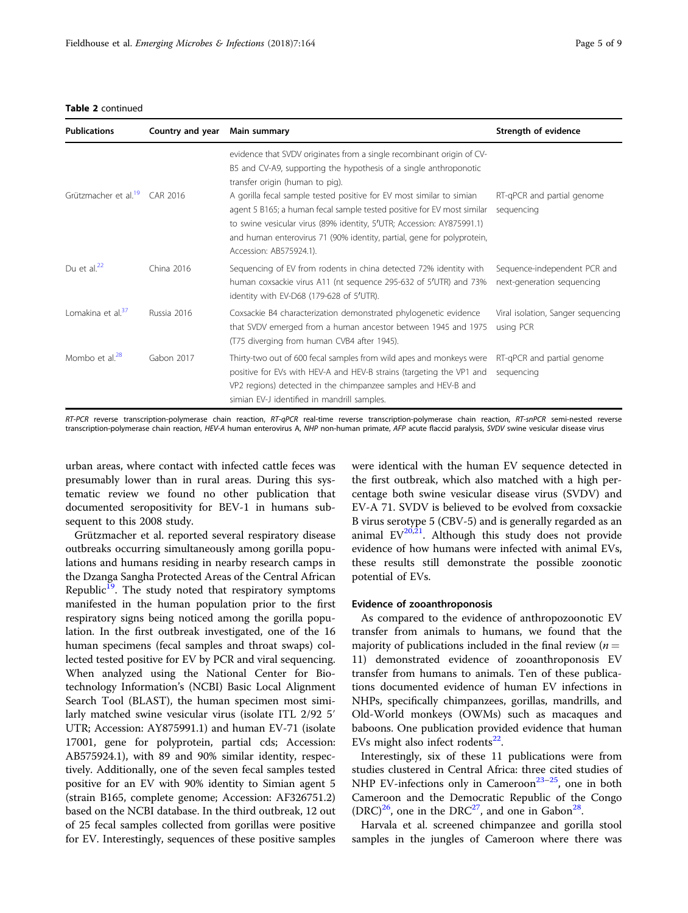Table 2 continued

| <b>Publications</b>                       | Country and year | Main summary                                                                                                                                                                                                                                                                                                                                                                                                                                                                                                  | Strength of evidence                                       |
|-------------------------------------------|------------------|---------------------------------------------------------------------------------------------------------------------------------------------------------------------------------------------------------------------------------------------------------------------------------------------------------------------------------------------------------------------------------------------------------------------------------------------------------------------------------------------------------------|------------------------------------------------------------|
| Grützmacher et al. <sup>19</sup> CAR 2016 |                  | evidence that SVDV originates from a single recombinant origin of CV-<br>B5 and CV-A9, supporting the hypothesis of a single anthroponotic<br>transfer origin (human to pig).<br>A gorilla fecal sample tested positive for EV most similar to simian<br>agent 5 B165; a human fecal sample tested positive for EV most similar<br>to swine vesicular virus (89% identity, 5'UTR; Accession: AY875991.1)<br>and human enterovirus 71 (90% identity, partial, gene for polyprotein,<br>Accession: AB575924.1). | RT-qPCR and partial genome<br>sequencing                   |
| Du et al. $^{22}$                         | China 2016       | Sequencing of EV from rodents in china detected 72% identity with<br>human coxsackie virus A11 (nt sequence 295-632 of 5'UTR) and 73%<br>identity with EV-D68 (179-628 of 5'UTR).                                                                                                                                                                                                                                                                                                                             | Sequence-independent PCR and<br>next-generation sequencing |
| Lomakina et al. <sup>37</sup>             | Russia 2016      | Coxsackie B4 characterization demonstrated phylogenetic evidence<br>that SVDV emerged from a human ancestor between 1945 and 1975<br>(T75 diverging from human CVB4 after 1945).                                                                                                                                                                                                                                                                                                                              | Viral isolation, Sanger sequencing<br>using PCR            |
| Mombo et al. <sup>28</sup>                | Gabon 2017       | Thirty-two out of 600 fecal samples from wild apes and monkeys were<br>positive for EVs with HEV-A and HEV-B strains (targeting the VP1 and<br>VP2 regions) detected in the chimpanzee samples and HEV-B and<br>simian EV-J identified in mandrill samples.                                                                                                                                                                                                                                                   | RT-qPCR and partial genome<br>sequencing                   |

RT-PCR reverse transcription-polymerase chain reaction, RT-qPCR real-time reverse transcription-polymerase chain reaction, RT-snPCR semi-nested reverse transcription-polymerase chain reaction, HEV-A human enterovirus A, NHP non-human primate, AFP acute flaccid paralysis, SVDV swine vesicular disease virus

urban areas, where contact with infected cattle feces was presumably lower than in rural areas. During this systematic review we found no other publication that documented seropositivity for BEV-1 in humans subsequent to this 2008 study.

Grützmacher et al. reported several respiratory disease outbreaks occurring simultaneously among gorilla populations and humans residing in nearby research camps in the Dzanga Sangha Protected Areas of the Central African Republic $19$ . The study noted that respiratory symptoms manifested in the human population prior to the first respiratory signs being noticed among the gorilla population. In the first outbreak investigated, one of the 16 human specimens (fecal samples and throat swaps) collected tested positive for EV by PCR and viral sequencing. When analyzed using the National Center for Biotechnology Information's (NCBI) Basic Local Alignment Search Tool (BLAST), the human specimen most similarly matched swine vesicular virus (isolate ITL 2/92 5′ UTR; Accession: AY875991.1) and human EV-71 (isolate 17001, gene for polyprotein, partial cds; Accession: AB575924.1), with 89 and 90% similar identity, respectively. Additionally, one of the seven fecal samples tested positive for an EV with 90% identity to Simian agent 5 (strain B165, complete genome; Accession: AF326751.2) based on the NCBI database. In the third outbreak, 12 out of 25 fecal samples collected from gorillas were positive for EV. Interestingly, sequences of these positive samples were identical with the human EV sequence detected in the first outbreak, which also matched with a high percentage both swine vesicular disease virus (SVDV) and EV-A 71. SVDV is believed to be evolved from coxsackie B virus serotype 5 (CBV-5) and is generally regarded as an animal  $EV^{20,21}$  $EV^{20,21}$  $EV^{20,21}$  $EV^{20,21}$  $EV^{20,21}$ . Although this study does not provide evidence of how humans were infected with animal EVs, these results still demonstrate the possible zoonotic potential of EVs.

#### Evidence of zooanthroponosis

As compared to the evidence of anthropozoonotic EV transfer from animals to humans, we found that the majority of publications included in the final review  $(n =$ 11) demonstrated evidence of zooanthroponosis EV transfer from humans to animals. Ten of these publications documented evidence of human EV infections in NHPs, specifically chimpanzees, gorillas, mandrills, and Old-World monkeys (OWMs) such as macaques and baboons. One publication provided evidence that human EVs might also infect rodents $^{22}$ .

Interestingly, six of these 11 publications were from studies clustered in Central Africa: three cited studies of NHP EV-infections only in Cameroon<sup>[23](#page-7-0)–[25](#page-8-0)</sup>, one in both Cameroon and the Democratic Republic of the Congo  $(DRC)^{26}$  $(DRC)^{26}$  $(DRC)^{26}$ , one in the DRC<sup>27</sup>, and one in Gabon<sup>[28](#page-8-0)</sup>.

Harvala et al. screened chimpanzee and gorilla stool samples in the jungles of Cameroon where there was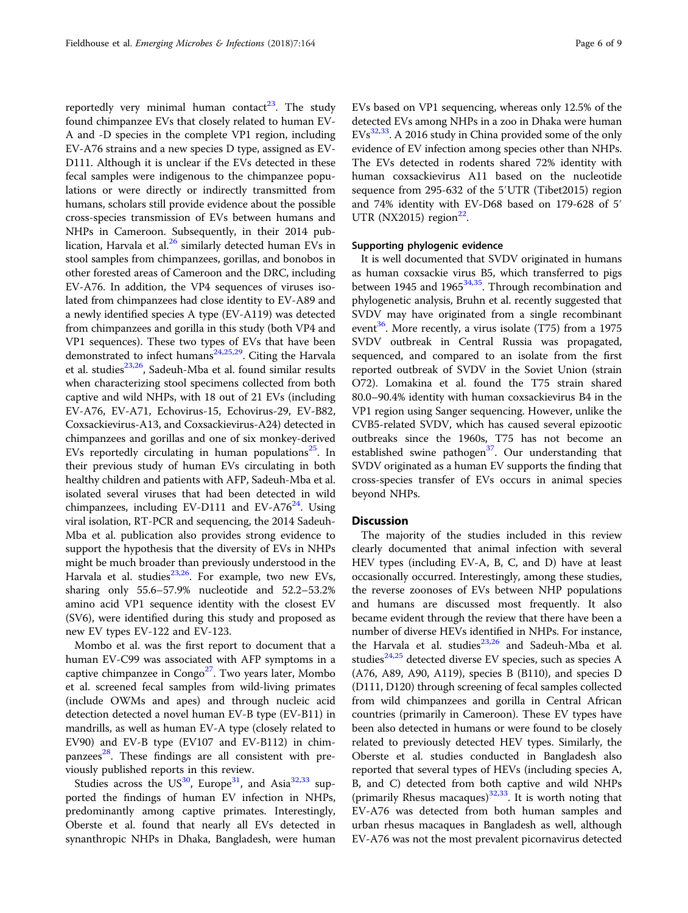reportedly very minimal human contact<sup>23</sup>. The study found chimpanzee EVs that closely related to human EV-A and -D species in the complete VP1 region, including EV-A76 strains and a new species D type, assigned as EV-D111. Although it is unclear if the EVs detected in these fecal samples were indigenous to the chimpanzee populations or were directly or indirectly transmitted from humans, scholars still provide evidence about the possible cross-species transmission of EVs between humans and NHPs in Cameroon. Subsequently, in their 2014 publication, Harvala et al.<sup>26</sup> similarly detected human EVs in stool samples from chimpanzees, gorillas, and bonobos in other forested areas of Cameroon and the DRC, including EV-A76. In addition, the VP4 sequences of viruses isolated from chimpanzees had close identity to EV-A89 and a newly identified species A type (EV-A119) was detected from chimpanzees and gorilla in this study (both VP4 and VP1 sequences). These two types of EVs that have been demonstrated to infect humans<sup>[24](#page-7-0),[25](#page-8-0),[29](#page-8-0)</sup>. Citing the Harvala et al. studies<sup>[23,](#page-7-0)26</sup>, Sadeuh-Mba et al. found similar results when characterizing stool specimens collected from both captive and wild NHPs, with 18 out of 21 EVs (including EV-A76, EV-A71, Echovirus-15, Echovirus-29, EV-B82, Coxsackievirus-A13, and Coxsackievirus-A24) detected in chimpanzees and gorillas and one of six monkey-derived EVs reportedly circulating in human populations<sup>25</sup>. In their previous study of human EVs circulating in both healthy children and patients with AFP, Sadeuh-Mba et al. isolated several viruses that had been detected in wild chimpanzees, including EV-D111 and EV-A7 $6^{24}$  $6^{24}$  $6^{24}$ . Using viral isolation, RT-PCR and sequencing, the 2014 Sadeuh-Mba et al. publication also provides strong evidence to support the hypothesis that the diversity of EVs in NHPs might be much broader than previously understood in the Harvala et al. studies $23,26$  $23,26$ . For example, two new EVs, sharing only 55.6–57.9% nucleotide and 52.2–53.2% amino acid VP1 sequence identity with the closest EV (SV6), were identified during this study and proposed as new EV types EV-122 and EV-123.

Mombo et al. was the first report to document that a human EV-C99 was associated with AFP symptoms in a captive chimpanzee in  $Congo^{27}$ . Two years later, Mombo et al. screened fecal samples from wild-living primates (include OWMs and apes) and through nucleic acid detection detected a novel human EV-B type (EV-B11) in mandrills, as well as human EV-A type (closely related to EV90) and EV-B type (EV107 and EV-B112) in chimpanzees $^{28}$ . These findings are all consistent with previously published reports in this review.

Studies across the US $^{30}$ , Europe<sup>[31](#page-8-0)</sup>, and Asia<sup>[32](#page-8-0),[33](#page-8-0)</sup> supported the findings of human EV infection in NHPs, predominantly among captive primates. Interestingly, Oberste et al. found that nearly all EVs detected in synanthropic NHPs in Dhaka, Bangladesh, were human EVs based on VP1 sequencing, whereas only 12.5% of the detected EVs among NHPs in a zoo in Dhaka were human EVs<sup>[32](#page-8-0),33</sup>. A 2016 study in China provided some of the only evidence of EV infection among species other than NHPs. The EVs detected in rodents shared 72% identity with human coxsackievirus A11 based on the nucleotide sequence from 295-632 of the 5′UTR (Tibet2015) region and 74% identity with EV-D68 based on 179-628 of 5′ UTR (NX2015) region $^{22}$ .

#### Supporting phylogenic evidence

It is well documented that SVDV originated in humans as human coxsackie virus B5, which transferred to pigs between 1945 and 1965 $34,35$ . Through recombination and phylogenetic analysis, Bruhn et al. recently suggested that SVDV may have originated from a single recombinant event<sup>36</sup>. More recently, a virus isolate (T75) from a 1975 SVDV outbreak in Central Russia was propagated, sequenced, and compared to an isolate from the first reported outbreak of SVDV in the Soviet Union (strain O72). Lomakina et al. found the T75 strain shared 80.0–90.4% identity with human coxsackievirus B4 in the VP1 region using Sanger sequencing. However, unlike the CVB5-related SVDV, which has caused several epizootic outbreaks since the 1960s, T75 has not become an established swine pathogen<sup>[37](#page-8-0)</sup>. Our understanding that SVDV originated as a human EV supports the finding that cross-species transfer of EVs occurs in animal species beyond NHPs.

### **Discussion**

The majority of the studies included in this review clearly documented that animal infection with several HEV types (including EV-A, B, C, and D) have at least occasionally occurred. Interestingly, among these studies, the reverse zoonoses of EVs between NHP populations and humans are discussed most frequently. It also became evident through the review that there have been a number of diverse HEVs identified in NHPs. For instance, the Harvala et al. studies $^{23,26}$  $^{23,26}$  $^{23,26}$  $^{23,26}$  and Sadeuh-Mba et al. studies<sup>[24](#page-7-0),[25](#page-8-0)</sup> detected diverse EV species, such as species A (A76, A89, A90, A119), species B (B110), and species D (D111, D120) through screening of fecal samples collected from wild chimpanzees and gorilla in Central African countries (primarily in Cameroon). These EV types have been also detected in humans or were found to be closely related to previously detected HEV types. Similarly, the Oberste et al. studies conducted in Bangladesh also reported that several types of HEVs (including species A, B, and C) detected from both captive and wild NHPs (primarily Rhesus macaques) $32,33$ . It is worth noting that EV-A76 was detected from both human samples and urban rhesus macaques in Bangladesh as well, although EV-A76 was not the most prevalent picornavirus detected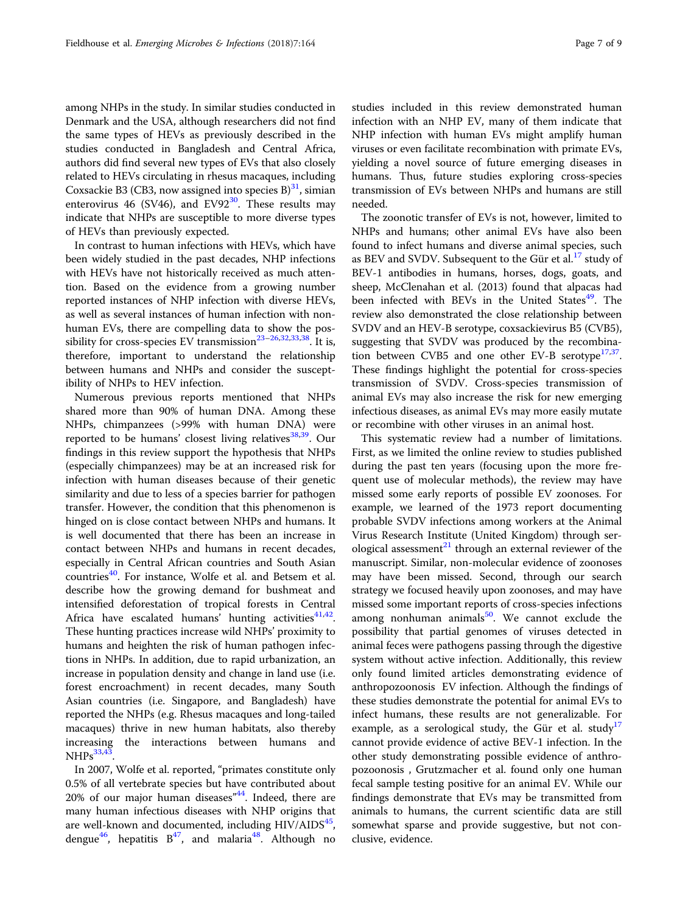among NHPs in the study. In similar studies conducted in Denmark and the USA, although researchers did not find the same types of HEVs as previously described in the studies conducted in Bangladesh and Central Africa, authors did find several new types of EVs that also closely related to HEVs circulating in rhesus macaques, including Coxsackie B3 (CB3, now assigned into species  $B$ )<sup>[31](#page-8-0)</sup>, simian enterovirus 46 (SV46), and EV92 $^{30}$ . These results may indicate that NHPs are susceptible to more diverse types of HEVs than previously expected.

In contrast to human infections with HEVs, which have been widely studied in the past decades, NHP infections with HEVs have not historically received as much attention. Based on the evidence from a growing number reported instances of NHP infection with diverse HEVs, as well as several instances of human infection with nonhuman EVs, there are compelling data to show the pos-sibility for cross-species EV transmission<sup>[23](#page-7-0)-[26](#page-8-0),[32](#page-8-0),[33](#page-8-0),[38](#page-8-0)</sup>. It is, therefore, important to understand the relationship between humans and NHPs and consider the susceptibility of NHPs to HEV infection.

Numerous previous reports mentioned that NHPs shared more than 90% of human DNA. Among these NHPs, chimpanzees (>99% with human DNA) were reported to be humans' closest living relatives  $38,39$ . Our findings in this review support the hypothesis that NHPs (especially chimpanzees) may be at an increased risk for infection with human diseases because of their genetic similarity and due to less of a species barrier for pathogen transfer. However, the condition that this phenomenon is hinged on is close contact between NHPs and humans. It is well documented that there has been an increase in contact between NHPs and humans in recent decades, especially in Central African countries and South Asian countries<sup>40</sup>. For instance, Wolfe et al. and Betsem et al. describe how the growing demand for bushmeat and intensified deforestation of tropical forests in Central Africa have escalated humans' hunting activities $41,42$ . These hunting practices increase wild NHPs' proximity to humans and heighten the risk of human pathogen infections in NHPs. In addition, due to rapid urbanization, an increase in population density and change in land use (i.e. forest encroachment) in recent decades, many South Asian countries (i.e. Singapore, and Bangladesh) have reported the NHPs (e.g. Rhesus macaques and long-tailed macaques) thrive in new human habitats, also thereby increasing the interactions between humans and  $NHPs<sup>33,43</sup>$  $NHPs<sup>33,43</sup>$  $NHPs<sup>33,43</sup>$  $NHPs<sup>33,43</sup>$  $NHPs<sup>33,43</sup>$ 

In 2007, Wolfe et al. reported, "primates constitute only 0.5% of all vertebrate species but have contributed about 20% of our major human diseases<sup>"[44](#page-8-0)</sup>. Indeed, there are many human infectious diseases with NHP origins that are well-known and documented, including  $HIV/ALDS<sup>45</sup>$  $HIV/ALDS<sup>45</sup>$  $HIV/ALDS<sup>45</sup>$ , dengue<sup>[46](#page-8-0)</sup>, hepatitis  $B^{47}$  $B^{47}$  $B^{47}$ , and malaria<sup>48</sup>. Although no

studies included in this review demonstrated human infection with an NHP EV, many of them indicate that NHP infection with human EVs might amplify human viruses or even facilitate recombination with primate EVs, yielding a novel source of future emerging diseases in humans. Thus, future studies exploring cross-species transmission of EVs between NHPs and humans are still needed.

The zoonotic transfer of EVs is not, however, limited to NHPs and humans; other animal EVs have also been found to infect humans and diverse animal species, such as BEV and SVDV. Subsequent to the Gür et al. $^{17}$  $^{17}$  $^{17}$  study of BEV-1 antibodies in humans, horses, dogs, goats, and sheep, McClenahan et al. (2013) found that alpacas had been infected with BEVs in the United States<sup>49</sup>. The review also demonstrated the close relationship between SVDV and an HEV-B serotype, coxsackievirus B5 (CVB5), suggesting that SVDV was produced by the recombination between CVB5 and one other EV-B serotype $17,37$  $17,37$ . These findings highlight the potential for cross-species transmission of SVDV. Cross-species transmission of animal EVs may also increase the risk for new emerging infectious diseases, as animal EVs may more easily mutate or recombine with other viruses in an animal host.

This systematic review had a number of limitations. First, as we limited the online review to studies published during the past ten years (focusing upon the more frequent use of molecular methods), the review may have missed some early reports of possible EV zoonoses. For example, we learned of the 1973 report documenting probable SVDV infections among workers at the Animal Virus Research Institute (United Kingdom) through ser-ological assessment<sup>[21](#page-7-0)</sup> through an external reviewer of the manuscript. Similar, non-molecular evidence of zoonoses may have been missed. Second, through our search strategy we focused heavily upon zoonoses, and may have missed some important reports of cross-species infections among nonhuman animals $50$ . We cannot exclude the possibility that partial genomes of viruses detected in animal feces were pathogens passing through the digestive system without active infection. Additionally, this review only found limited articles demonstrating evidence of anthropozoonosis EV infection. Although the findings of these studies demonstrate the potential for animal EVs to infect humans, these results are not generalizable. For example, as a serological study, the Gür et al. study<sup>[17](#page-7-0)</sup> cannot provide evidence of active BEV-1 infection. In the other study demonstrating possible evidence of anthropozoonosis , Grutzmacher et al. found only one human fecal sample testing positive for an animal EV. While our findings demonstrate that EVs may be transmitted from animals to humans, the current scientific data are still somewhat sparse and provide suggestive, but not conclusive, evidence.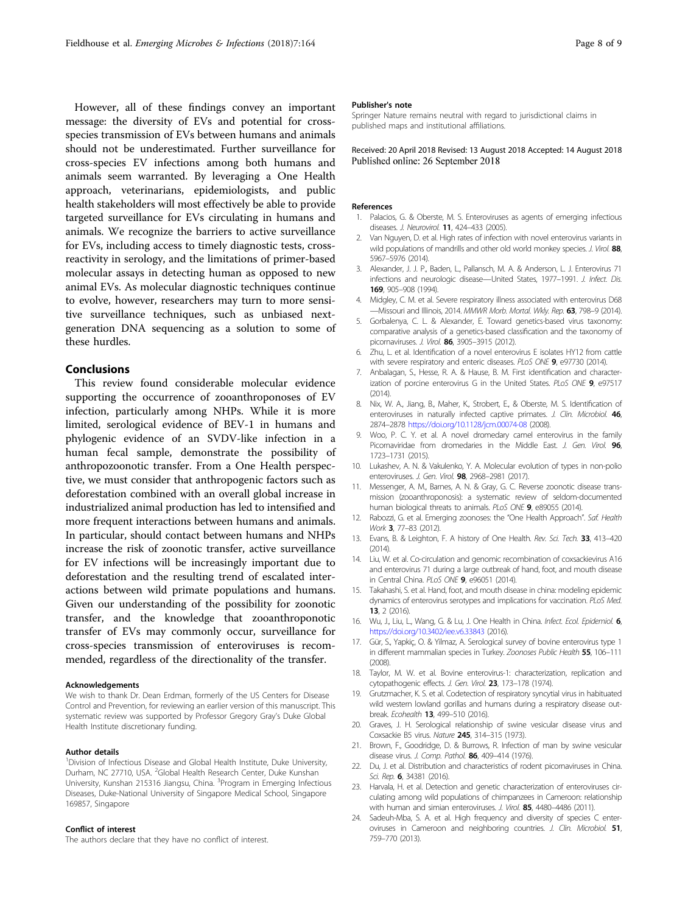<span id="page-7-0"></span>However, all of these findings convey an important message: the diversity of EVs and potential for crossspecies transmission of EVs between humans and animals should not be underestimated. Further surveillance for cross-species EV infections among both humans and animals seem warranted. By leveraging a One Health approach, veterinarians, epidemiologists, and public health stakeholders will most effectively be able to provide targeted surveillance for EVs circulating in humans and animals. We recognize the barriers to active surveillance for EVs, including access to timely diagnostic tests, crossreactivity in serology, and the limitations of primer-based molecular assays in detecting human as opposed to new animal EVs. As molecular diagnostic techniques continue to evolve, however, researchers may turn to more sensitive surveillance techniques, such as unbiased nextgeneration DNA sequencing as a solution to some of these hurdles.

#### Conclusions

This review found considerable molecular evidence supporting the occurrence of zooanthroponoses of EV infection, particularly among NHPs. While it is more limited, serological evidence of BEV-1 in humans and phylogenic evidence of an SVDV-like infection in a human fecal sample, demonstrate the possibility of anthropozoonotic transfer. From a One Health perspective, we must consider that anthropogenic factors such as deforestation combined with an overall global increase in industrialized animal production has led to intensified and more frequent interactions between humans and animals. In particular, should contact between humans and NHPs increase the risk of zoonotic transfer, active surveillance for EV infections will be increasingly important due to deforestation and the resulting trend of escalated interactions between wild primate populations and humans. Given our understanding of the possibility for zoonotic transfer, and the knowledge that zooanthroponotic transfer of EVs may commonly occur, surveillance for cross-species transmission of enteroviruses is recommended, regardless of the directionality of the transfer.

#### Acknowledgements

We wish to thank Dr. Dean Erdman, formerly of the US Centers for Disease Control and Prevention, for reviewing an earlier version of this manuscript. This systematic review was supported by Professor Gregory Gray's Duke Global Health Institute discretionary funding.

#### Author details

<sup>1</sup> Division of Infectious Disease and Global Health Institute, Duke University, Durham, NC 27710, USA. <sup>2</sup>Global Health Research Center, Duke Kunshan University, Kunshan 215316 Jiangsu, China. <sup>3</sup>Program in Emerging Infectious Diseases, Duke-National University of Singapore Medical School, Singapore 169857, Singapore

#### Conflict of interest

The authors declare that they have no conflict of interest.

#### Publisher's note

Springer Nature remains neutral with regard to jurisdictional claims in published maps and institutional affiliations.

Received: 20 April 2018 Revised: 13 August 2018 Accepted: 14 August 2018 Published online: 26 September 2018

#### References

- 1. Palacios, G. & Oberste, M. S. Enteroviruses as agents of emerging infectious diseases. J. Neurovirol. 11, 424–433 (2005).
- 2. Van Nguyen, D. et al. High rates of infection with novel enterovirus variants in wild populations of mandrills and other old world monkey species. J. Virol. 88, 5967–5976 (2014).
- 3. Alexander, J. J. P., Baden, L., Pallansch, M. A. & Anderson, L. J. Enterovirus 71 infections and neurologic disease—United States, 1977–1991. J. Infect. Dis. 169, 905–908 (1994).
- 4. Midgley, C. M. et al. Severe respiratory illness associated with enterovirus D68 -Missouri and Illinois, 2014. MMWR Morb. Mortal. Wkly. Rep. 63, 798-9 (2014).
- 5. Gorbalenya, C. L. & Alexander, E. Toward genetics-based virus taxonomy: comparative analysis of a genetics-based classification and the taxonomy of picornaviruses. J. Virol. 86, 3905–3915 (2012).
- 6. Zhu, L. et al. Identification of a novel enterovirus E isolates HY12 from cattle with severe respiratory and enteric diseases. PLoS ONE 9, e97730 (2014).
- 7. Anbalagan, S., Hesse, R. A. & Hause, B. M. First identification and characterization of porcine enterovirus G in the United States. PLoS ONE 9, e97517  $(2014)$
- 8. Nix, W. A., Jiang, B., Maher, K., Strobert, E., & Oberste, M. S. Identification of enteroviruses in naturally infected captive primates. J. Clin. Microbiol. 46, 2874–2878 <https://doi.org/10.1128/jcm.00074-08> (2008).
- 9. Woo, P. C. Y. et al. A novel dromedary camel enterovirus in the family Picornaviridae from dromedaries in the Middle East. J. Gen. Virol. 96, 1723–1731 (2015).
- 10. Lukashev, A. N. & Vakulenko, Y. A. Molecular evolution of types in non-polio enteroviruses. J. Gen. Virol. 98, 2968-2981 (2017).
- 11. Messenger, A. M., Barnes, A. N. & Gray, G. C. Reverse zoonotic disease transmission (zooanthroponosis): a systematic review of seldom-documented human biological threats to animals. PLoS ONE 9, e89055 (2014).
- 12. Rabozzi, G. et al. Emerging zoonoses: the "One Health Approach". Saf. Health Work **3**, 77–83 (2012).
- 13. Evans, B. & Leighton, F. A history of One Health. Rev. Sci. Tech. 33, 413-420 (2014).
- 14. Liu, W. et al. Co-circulation and genomic recombination of coxsackievirus A16 and enterovirus 71 during a large outbreak of hand, foot, and mouth disease in Central China. PLoS ONE 9, e96051 (2014).
- 15. Takahashi, S. et al. Hand, foot, and mouth disease in china: modeling epidemic dynamics of enterovirus serotypes and implications for vaccination. PLoS Med. 13, 2 (2016).
- 16. Wu, J., Liu, L., Wang, G. & Lu, J. One Health in China. Infect. Ecol. Epidemiol. 6, <https://doi.org/10.3402/iee.v6.33843> (2016).
- 17. Gür, S., Yapkiç, O. & Yilmaz, A. Serological survey of bovine enterovirus type 1 in different mammalian species in Turkey. Zoonoses Public Health 55, 106-111 (2008).
- 18. Taylor, M. W. et al. Bovine enterovirus-1: characterization, replication and cytopathogenic effects. J. Gen. Virol. 23, 173-178 (1974).
- 19. Grutzmacher, K. S. et al. Codetection of respiratory syncytial virus in habituated wild western lowland gorillas and humans during a respiratory disease outbreak. Ecohealth 13, 499–510 (2016).
- 20. Graves, J. H. Serological relationship of swine vesicular disease virus and Coxsackie B5 virus. Nature 245, 314–315 (1973).
- 21. Brown, F., Goodridge, D. & Burrows, R. Infection of man by swine vesicular disease virus. J. Comp. Pathol. **86**, 409-414 (1976).
- 22. Du, J. et al. Distribution and characteristics of rodent picornaviruses in China. Sci. Rep. 6, 34381 (2016).
- 23. Harvala, H. et al. Detection and genetic characterization of enteroviruses circulating among wild populations of chimpanzees in Cameroon: relationship with human and simian enteroviruses. *J. Virol.* 85, 4480-4486 (2011).
- 24. Sadeuh-Mba, S. A. et al. High frequency and diversity of species C enteroviruses in Cameroon and neighboring countries. J. Clin. Microbiol. 51, 759–770 (2013).